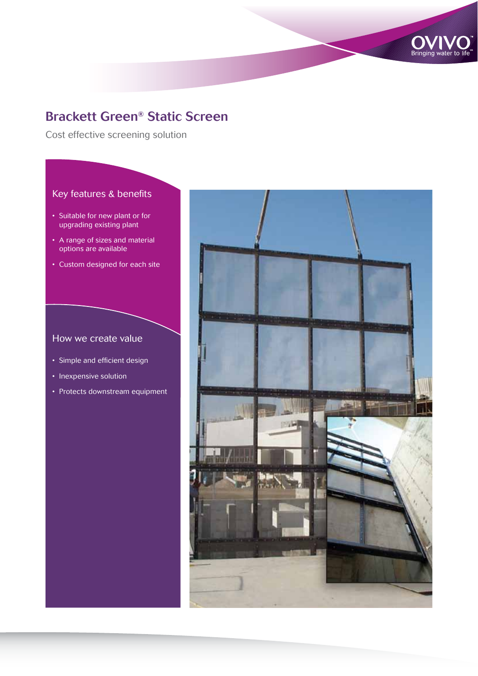

# Brackett Green® Static Screen

Cost effective screening solution

## Key features & benefits

- • Suitable for new plant or for upgrading existing plant
- A range of sizes and material options are available
- Custom designed for each site

### How we create value

- Simple and efficient design
- Inexpensive solution
- Protects downstream equipment